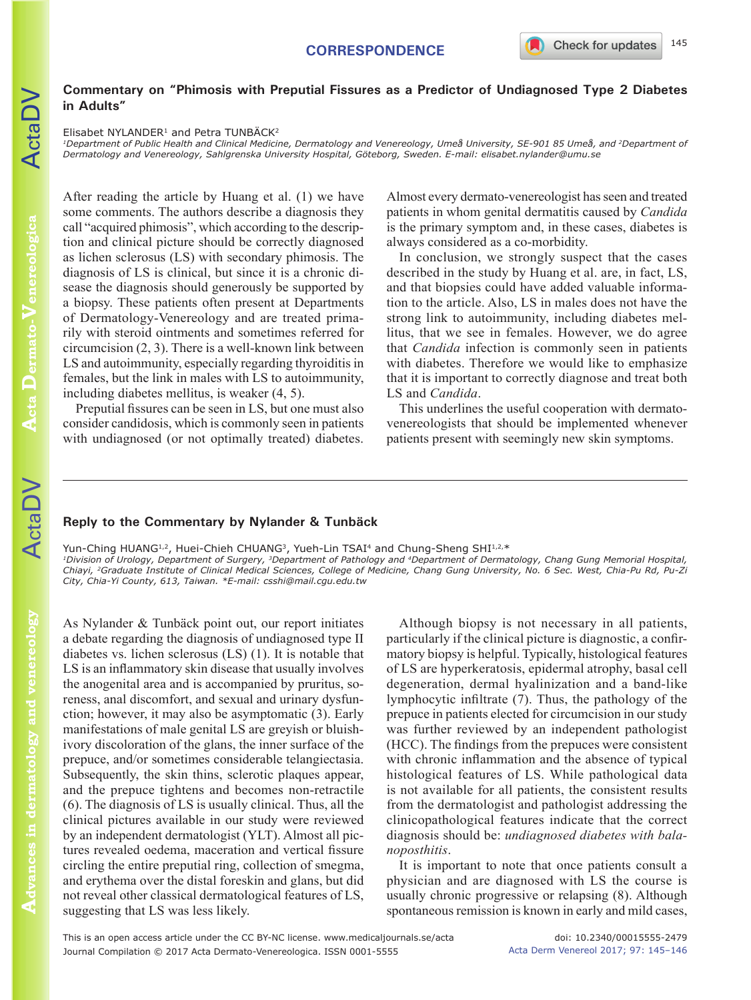## **CORRESPONDENCE**

## **Commentary on "Phimosis with Preputial Fissures as a Predictor of Undiagnosed Type 2 Diabetes in Adults"**

Elisabet NYLANDER<sup>1</sup> and Petra TUNBÄCK<sup>2</sup>

<sup>1</sup>Department of Public Health and Clinical Medicine, Dermatology and Venereology, Umeå University, SE-901 85 Umeå, and <sup>2</sup>Department of *Dermatology and Venereology, Sahlgrenska University Hospital, Göteborg, Sweden. E-mail: elisabet.nylander@umu.se*

After reading the article by Huang et al. (1) we have some comments. The authors describe a diagnosis they call "acquired phimosis", which according to the description and clinical picture should be correctly diagnosed as lichen sclerosus (LS) with secondary phimosis. The diagnosis of LS is clinical, but since it is a chronic disease the diagnosis should generously be supported by a biopsy. These patients often present at Departments of Dermatology-Venereology and are treated primarily with steroid ointments and sometimes referred for circumcision (2, 3). There is a well-known link between LS and autoimmunity, especially regarding thyroiditis in females, but the link in males with LS to autoimmunity, including diabetes mellitus, is weaker (4, 5).

Preputial fissures can be seen in LS, but one must also consider candidosis, which is commonly seen in patients with undiagnosed (or not optimally treated) diabetes.

Almost every dermato-venereologist has seen and treated patients in whom genital dermatitis caused by *Candida* is the primary symptom and, in these cases, diabetes is always considered as a co-morbidity.

In conclusion, we strongly suspect that the cases described in the study by Huang et al. are, in fact, LS, and that biopsies could have added valuable information to the article. Also, LS in males does not have the strong link to autoimmunity, including diabetes mellitus, that we see in females. However, we do agree that *Candida* infection is commonly seen in patients with diabetes. Therefore we would like to emphasize that it is important to correctly diagnose and treat both LS and *Candida*.

This underlines the useful cooperation with dermatovenereologists that should be implemented whenever patients present with seemingly new skin symptoms.

## **Reply to the Commentary by Nylander & Tunbäck**

Yun-Ching HUANG<sup>1,2</sup>, Huei-Chieh CHUANG<sup>3</sup>, Yueh-Lin TSAI<sup>4</sup> and Chung-Sheng SHI<sup>1,2,\*</sup> *1Division of Urology, Department of Surgery, 3Department of Pathology and 4Department of Dermatology, Chang Gung Memorial Hospital, Chiayi, 2Graduate Institute of Clinical Medical Sciences, College of Medicine, Chang Gung University, No. 6 Sec. West, Chia-Pu Rd, Pu-Zi City, Chia-Yi County, 613, Taiwan. \*E-mail: csshi@mail.cgu.edu.tw*

As Nylander & Tunbäck point out, our report initiates a debate regarding the diagnosis of undiagnosed type II diabetes vs. lichen sclerosus (LS) (1). It is notable that LS is an inflammatory skin disease that usually involves the anogenital area and is accompanied by pruritus, soreness, anal discomfort, and sexual and urinary dysfunction; however, it may also be asymptomatic (3). Early manifestations of male genital LS are greyish or bluishivory discoloration of the glans, the inner surface of the prepuce, and/or sometimes considerable telangiectasia. Subsequently, the skin thins, sclerotic plaques appear, and the prepuce tightens and becomes non-retractile (6). The diagnosis of LS is usually clinical. Thus, all the clinical pictures available in our study were reviewed by an independent dermatologist (YLT). Almost all pictures revealed oedema, maceration and vertical fissure circling the entire preputial ring, collection of smegma, and erythema over the distal foreskin and glans, but did not reveal other classical dermatological features of LS, suggesting that LS was less likely.

Although biopsy is not necessary in all patients, particularly if the clinical picture is diagnostic, a confirmatory biopsy is helpful. Typically, histological features of LS are hyperkeratosis, epidermal atrophy, basal cell degeneration, dermal hyalinization and a band-like lymphocytic infiltrate (7). Thus, the pathology of the prepuce in patients elected for circumcision in our study was further reviewed by an independent pathologist (HCC). The findings from the prepuces were consistent with chronic inflammation and the absence of typical histological features of LS. While pathological data is not available for all patients, the consistent results from the dermatologist and pathologist addressing the clinicopathological features indicate that the correct diagnosis should be: *undiagnosed diabetes with balanoposthitis*.

It is important to note that once patients consult a physician and are diagnosed with LS the course is usually chronic progressive or relapsing (8). Although spontaneous remission is known in early and mild cases,